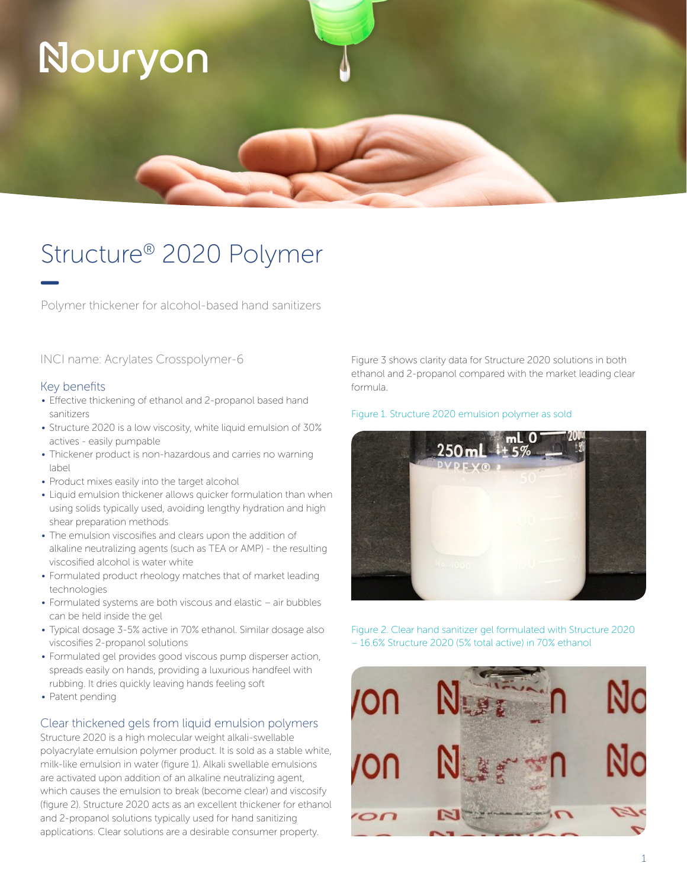# Nouryon

## Structure® 2020 Polymer

Polymer thickener for alcohol-based hand sanitizers

INCI name: Acrylates Crosspolymer-6

### Key benefits

- Effective thickening of ethanol and 2-propanol based hand sanitizers
- Structure 2020 is a low viscosity, white liquid emulsion of 30% actives - easily pumpable
- Thickener product is non-hazardous and carries no warning label
- Product mixes easily into the target alcohol
- Liquid emulsion thickener allows quicker formulation than when using solids typically used, avoiding lengthy hydration and high shear preparation methods
- The emulsion viscosifies and clears upon the addition of alkaline neutralizing agents (such as TEA or AMP) - the resulting viscosified alcohol is water white
- Formulated product rheology matches that of market leading technologies
- Formulated systems are both viscous and elastic air bubbles can be held inside the gel
- Typical dosage 3-5% active in 70% ethanol. Similar dosage also viscosifies 2-propanol solutions
- Formulated gel provides good viscous pump disperser action, spreads easily on hands, providing a luxurious handfeel with rubbing. It dries quickly leaving hands feeling soft
- Patent pending

### Clear thickened gels from liquid emulsion polymers

Structure 2020 is a high molecular weight alkali-swellable polyacrylate emulsion polymer product. It is sold as a stable white, milk-like emulsion in water (figure 1). Alkali swellable emulsions are activated upon addition of an alkaline neutralizing agent, which causes the emulsion to break (become clear) and viscosify (figure 2). Structure 2020 acts as an excellent thickener for ethanol and 2-propanol solutions typically used for hand sanitizing applications. Clear solutions are a desirable consumer property.

Figure 3 shows clarity data for Structure 2020 solutions in both ethanol and 2-propanol compared with the market leading clear formula.

### Figure 1. Structure 2020 emulsion polymer as sold



Figure 2. Clear hand sanitizer gel formulated with Structure 2020 – 16.6% Structure 2020 (5% total active) in 70% ethanol

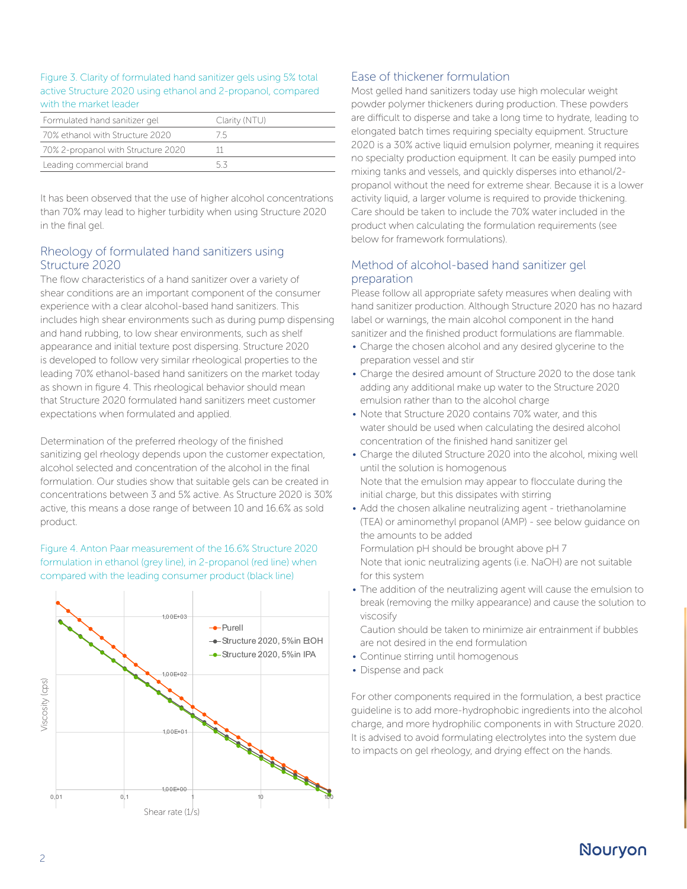### Figure 3. Clarity of formulated hand sanitizer gels using 5% total active Structure 2020 using ethanol and 2-propanol, compared with the market leader

| Formulated hand sanitizer gel      | Clarity (NTU) |
|------------------------------------|---------------|
| 70% ethanol with Structure 2020    | 75            |
| 70% 2-propanol with Structure 2020 |               |
| Leading commercial brand           | 53            |

It has been observed that the use of higher alcohol concentrations than 70% may lead to higher turbidity when using Structure 2020 in the final gel.

### Rheology of formulated hand sanitizers using Structure 2020

The flow characteristics of a hand sanitizer over a variety of shear conditions are an important component of the consumer experience with a clear alcohol-based hand sanitizers. This includes high shear environments such as during pump dispensing and hand rubbing, to low shear environments, such as shelf appearance and initial texture post dispersing. Structure 2020 is developed to follow very similar rheological properties to the leading 70% ethanol-based hand sanitizers on the market today as shown in figure 4. This rheological behavior should mean that Structure 2020 formulated hand sanitizers meet customer expectations when formulated and applied.

Determination of the preferred rheology of the finished sanitizing gel rheology depends upon the customer expectation, alcohol selected and concentration of the alcohol in the final formulation. Our studies show that suitable gels can be created in concentrations between 3 and 5% active. As Structure 2020 is 30% active, this means a dose range of between 10 and 16.6% as sold product.

Figure 4. Anton Paar measurement of the 16.6% Structure 2020 formulation in ethanol (grey line), in 2-propanol (red line) when compared with the leading consumer product (black line)



### Ease of thickener formulation

Most gelled hand sanitizers today use high molecular weight powder polymer thickeners during production. These powders are difficult to disperse and take a long time to hydrate, leading to elongated batch times requiring specialty equipment. Structure 2020 is a 30% active liquid emulsion polymer, meaning it requires no specialty production equipment. It can be easily pumped into mixing tanks and vessels, and quickly disperses into ethanol/2 propanol without the need for extreme shear. Because it is a lower activity liquid, a larger volume is required to provide thickening. Care should be taken to include the 70% water included in the product when calculating the formulation requirements (see below for framework formulations).

### Method of alcohol-based hand sanitizer gel preparation

Please follow all appropriate safety measures when dealing with hand sanitizer production. Although Structure 2020 has no hazard label or warnings, the main alcohol component in the hand sanitizer and the finished product formulations are flammable.

- Charge the chosen alcohol and any desired glycerine to the preparation vessel and stir
- Charge the desired amount of Structure 2020 to the dose tank adding any additional make up water to the Structure 2020 emulsion rather than to the alcohol charge
- Note that Structure 2020 contains 70% water, and this water should be used when calculating the desired alcohol concentration of the finished hand sanitizer gel
- Charge the diluted Structure 2020 into the alcohol, mixing well until the solution is homogenous Note that the emulsion may appear to flocculate during the initial charge, but this dissipates with stirring
- Add the chosen alkaline neutralizing agent triethanolamine (TEA) or aminomethyl propanol (AMP) - see below guidance on the amounts to be added Formulation pH should be brought above pH 7 Note that ionic neutralizing agents (i.e. NaOH) are not suitable for this system
- The addition of the neutralizing agent will cause the emulsion to break (removing the milky appearance) and cause the solution to viscosify

Caution should be taken to minimize air entrainment if bubbles are not desired in the end formulation

- Continue stirring until homogenous
- Dispense and pack

For other components required in the formulation, a best practice guideline is to add more-hydrophobic ingredients into the alcohol charge, and more hydrophilic components in with Structure 2020. It is advised to avoid formulating electrolytes into the system due to impacts on gel rheology, and drying effect on the hands.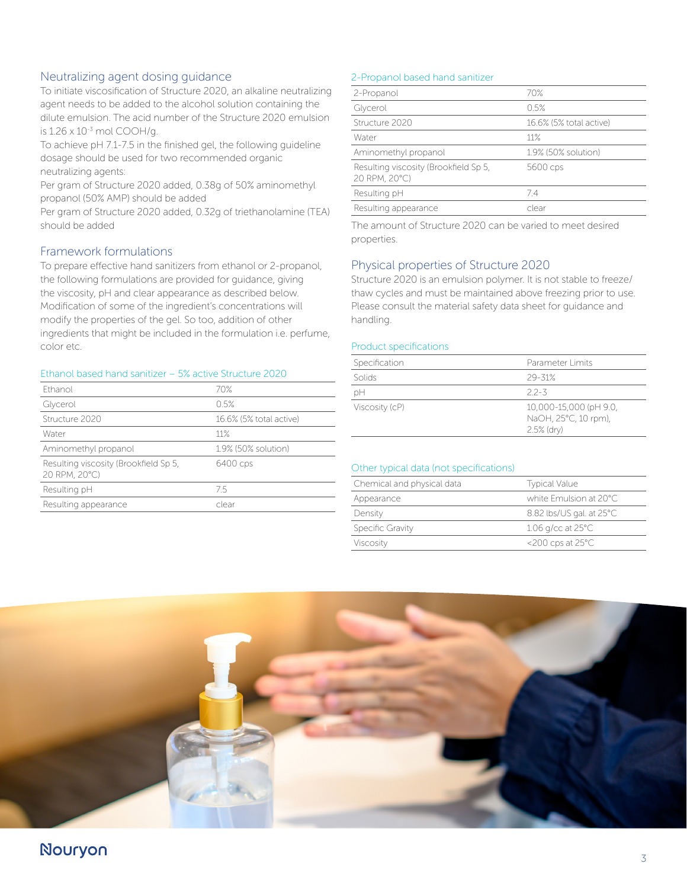### Neutralizing agent dosing guidance

To initiate viscosification of Structure 2020, an alkaline neutralizing agent needs to be added to the alcohol solution containing the dilute emulsion. The acid number of the Structure 2020 emulsion is 1.26 x 10-3 mol COOH/g.

To achieve pH 7.1-7.5 in the finished gel, the following guideline dosage should be used for two recommended organic neutralizing agents:

Per gram of Structure 2020 added, 0.38g of 50% aminomethyl propanol (50% AMP) should be added

Per gram of Structure 2020 added, 0.32g of triethanolamine (TEA) should be added

### Framework formulations

To prepare effective hand sanitizers from ethanol or 2-propanol, the following formulations are provided for guidance, giving the viscosity, pH and clear appearance as described below. Modification of some of the ingredient's concentrations will modify the properties of the gel. So too, addition of other ingredients that might be included in the formulation i.e. perfume, color etc.

### Ethanol based hand sanitizer – 5% active Structure 2020

| Fthanol                                                | 70%                     |
|--------------------------------------------------------|-------------------------|
| Glycerol                                               | 0.5%                    |
| Structure 2020                                         | 16.6% (5% total active) |
| Water                                                  | 11%                     |
| Aminomethyl propanol                                   | 1.9% (50% solution)     |
| Resulting viscosity (Brookfield Sp 5,<br>20 RPM, 20°C) | 6400 cps                |
| Resulting pH                                           | 75                      |
| Resulting appearance                                   | clear                   |
|                                                        |                         |

### 2-Propanol based hand sanitizer

| 2-Propanol                                             | 70%                     |
|--------------------------------------------------------|-------------------------|
| Glycerol                                               | 0.5%                    |
| Structure 2020                                         | 16.6% (5% total active) |
| Water                                                  | 11%                     |
| Aminomethyl propanol                                   | 1.9% (50% solution)     |
| Resulting viscosity (Brookfield Sp 5,<br>20 RPM, 20°C) | 5600 cps                |
| Resulting pH                                           | 74                      |
| Resulting appearance                                   | clear                   |

The amount of Structure 2020 can be varied to meet desired properties.

### Physical properties of Structure 2020

Structure 2020 is an emulsion polymer. It is not stable to freeze/ thaw cycles and must be maintained above freezing prior to use. Please consult the material safety data sheet for guidance and handling.

### Product specifications

| Specification  | Parameter Limits                                                |
|----------------|-----------------------------------------------------------------|
| Solids         | $29 - 31%$                                                      |
| рH             | $22 - 3$                                                        |
| Viscosity (cP) | 10,000-15,000 (pH 9.0,<br>NaOH, 25°C, 10 rpm),<br>$2.5\%$ (dry) |

### Other typical data (not specifications)

| Chemical and physical data | <b>Typical Value</b>           |
|----------------------------|--------------------------------|
| Appearance                 | white Emulsion at 20°C         |
| Density                    | 8.82 lbs/US gal. at 25°C       |
| Specific Gravity           | $1.06$ g/cc at $25^{\circ}$ C  |
| Viscosity                  | $<$ 200 cps at 25 $^{\circ}$ C |



### Nouryon